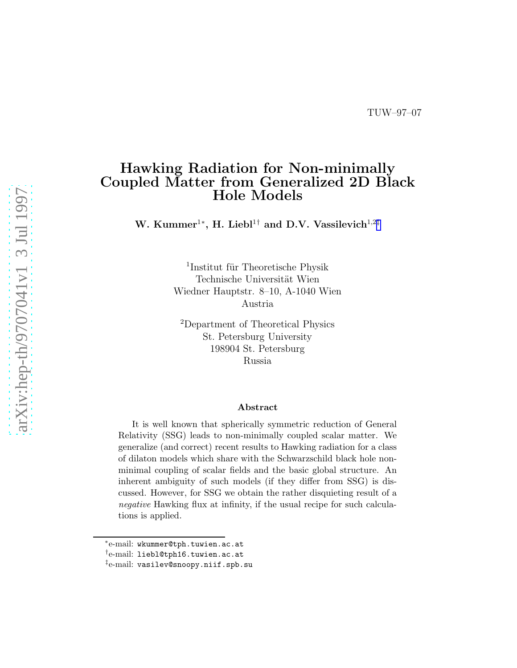# Hawking Radiation for Non-minimally Coupled Matter from Generalized 2D Black Hole Models

W. Kummer<sup>1\*</sup>, H. Liebl<sup>1†</sup> and D.V. Vassilevich<sup>1,2‡</sup>

<sup>1</sup>Institut für Theoretische Physik Technische Universität Wien Wiedner Hauptstr. 8–10, A-1040 Wien Austria

<sup>2</sup>Department of Theoretical Physics St. Petersburg University 198904 St. Petersburg Russia

#### Abstract

It is well known that spherically symmetric reduction of General Relativity (SSG) leads to non-minimally coupled scalar matter. We generalize (and correct) recent results to Hawking radiation for a class of dilaton models which share with the Schwarzschild black hole nonminimal coupling of scalar fields and the basic global structure. An inherent ambiguity of such models (if they differ from SSG) is discussed. However, for SSG we obtain the rather disquieting result of a negative Hawking flux at infinity, if the usual recipe for such calculations is applied.

<sup>∗</sup> e-mail: wkummer@tph.tuwien.ac.at

<sup>†</sup> e-mail: liebl@tph16.tuwien.ac.at

 $^\ddag$ e-mail: vasilev@snoopy.niif.spb.su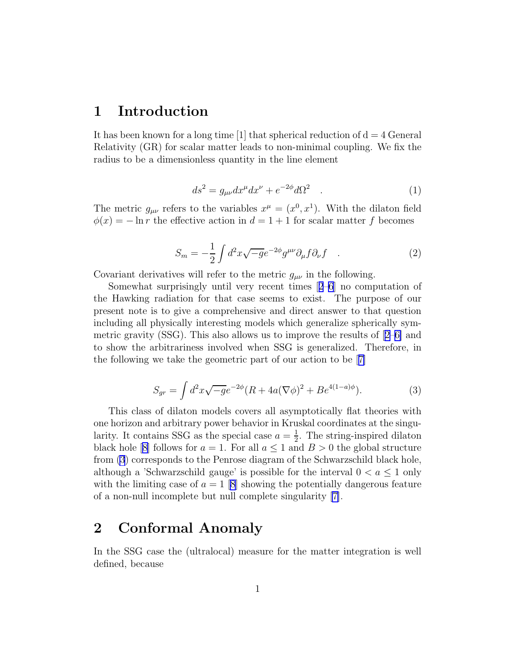#### <span id="page-1-0"></span>1 Introduction

It has been known for a long time  $[1]$  that spherical reduction of  $d = 4$  General Relativity (GR) for scalar matter leads to non-minimal coupling. We fix the radius to be a dimensionless quantity in the line element

$$
ds^2 = g_{\mu\nu} dx^{\mu} dx^{\nu} + e^{-2\phi} d\Omega^2 \quad . \tag{1}
$$

The metric  $g_{\mu\nu}$  refers to the variables  $x^{\mu} = (x^0, x^1)$ . With the dilaton field  $\phi(x) = -\ln r$  the effective action in  $d = 1 + 1$  for scalar matter f becomes

$$
S_m = -\frac{1}{2} \int d^2x \sqrt{-g} e^{-2\phi} g^{\mu\nu} \partial_{\mu} f \partial_{\nu} f \quad . \tag{2}
$$

Covariant derivatives will refer to the metric  $g_{\mu\nu}$  in the following.

Somewhat surprisingly until very recent times[[2–6](#page-7-0)] no computation of the Hawking radiation for that case seems to exist. The purpose of our present note is to give a comprehensive and direct answer to that question including all physically interesting models which generalize spherically symmetricgravity (SSG). This also allows us to improve the results of  $[2-6]$  and to show the arbitrariness involved when SSG is generalized. Therefore, in the following we take the geometric part of our action to be[[7\]](#page-7-0)

$$
S_{gr} = \int d^2x \sqrt{-g} e^{-2\phi} (R + 4a(\nabla \phi)^2 + Be^{4(1-a)\phi}).
$$
\n(3)

This class of dilaton models covers all asymptotically flat theories with one horizon and arbitrary power behavior in Kruskal coordinates at the singularity. It contains SSG as the special case  $a = \frac{1}{2}$  $\frac{1}{2}$ . The string-inspired dilaton blackhole [[8\]](#page-7-0) follows for  $a = 1$ . For all  $a \le 1$  and  $B > 0$  the global structure from (3) corresponds to the Penrose diagram of the Schwarzschild black hole, although a 'Schwarzschild gauge' is possible for the interval  $0 < a \leq 1$  only with the limiting case of  $a = 1$  [\[8\]](#page-7-0) showing the potentially dangerous feature of a non-null incomplete but null complete singularity [\[7\]](#page-7-0).

## 2 Conformal Anomaly

In the SSG case the (ultralocal) measure for the matter integration is well defined, because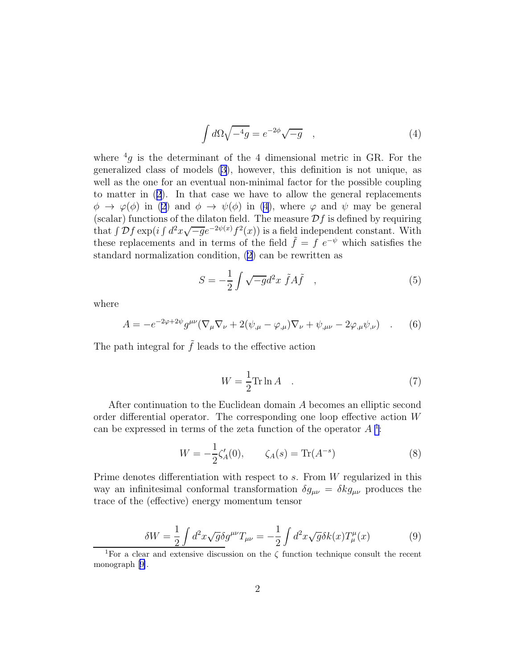$$
\int d\Omega \sqrt{-^4g} = e^{-2\phi} \sqrt{-g} \quad , \tag{4}
$$

<span id="page-2-0"></span>where  ${}^{4}g$  is the determinant of the 4 dimensional metric in GR. For the generalized class of models [\(3](#page-1-0)), however, this definition is not unique, as well as the one for an eventual non-minimal factor for the possible coupling to matter in([2](#page-1-0)). In that case we have to allow the general replacements  $\phi \rightarrow \varphi(\phi)$  in [\(2](#page-1-0)) and  $\phi \rightarrow \psi(\phi)$  in (4), where  $\varphi$  and  $\psi$  may be general (scalar) functions of the dilaton field. The measure  $\mathcal{D}f$  is defined by requiring that  $\int \mathcal{D}f \exp\left(i \int d^2x \sqrt{-g}e^{-2\psi(x)}f^2(x)\right)$  is a field independent constant. With these replacements and in terms of the field  $\tilde{f} = f e^{-\psi}$  which satisfies the standard normalization condition, [\(2\)](#page-1-0) can be rewritten as

$$
S = -\frac{1}{2} \int \sqrt{-g} d^2 x \ \tilde{f} A \tilde{f} \quad , \tag{5}
$$

where

$$
A = -e^{-2\varphi + 2\psi} g^{\mu\nu} (\nabla_{\mu} \nabla_{\nu} + 2(\psi_{,\mu} - \varphi_{,\mu}) \nabla_{\nu} + \psi_{,\mu\nu} - 2\varphi_{,\mu} \psi_{,\nu}) \quad . \tag{6}
$$

The path integral for  $\tilde{f}$  leads to the effective action

$$
W = \frac{1}{2} \text{Tr} \ln A \quad . \tag{7}
$$

After continuation to the Euclidean domain A becomes an elliptic second order differential operator. The corresponding one loop effective action W can be expressed in terms of the zeta function of the operator  $A<sup>1</sup>$ :

$$
W = -\frac{1}{2}\zeta_A'(0), \qquad \zeta_A(s) = \text{Tr}(A^{-s})
$$
 (8)

Prime denotes differentiation with respect to s. From W regularized in this way an infinitesimal conformal transformation  $\delta g_{\mu\nu} = \delta k g_{\mu\nu}$  produces the trace of the (effective) energy momentum tensor

$$
\delta W = \frac{1}{2} \int d^2 x \sqrt{g} \delta g^{\mu\nu} T_{\mu\nu} = -\frac{1}{2} \int d^2 x \sqrt{g} \delta k(x) T^{\mu}_{\mu}(x) \tag{9}
$$

<sup>&</sup>lt;sup>1</sup>For a clear and extensive discussion on the  $\zeta$  function technique consult the recent monograph[[9\]](#page-8-0).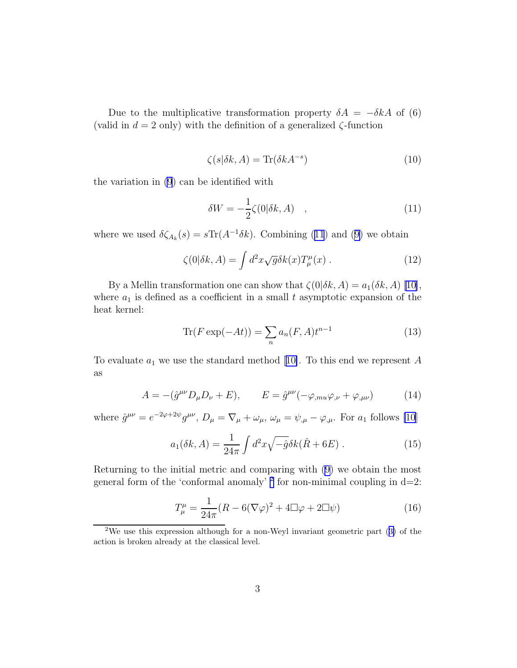<span id="page-3-0"></span>Due to the multiplicative transformation property  $\delta A = -\delta k A$  of (6) (valid in  $d = 2$  only) with the definition of a generalized  $\zeta$ -function

$$
\zeta(s|\delta k, A) = \text{Tr}(\delta k A^{-s})\tag{10}
$$

the variation in [\(9](#page-2-0)) can be identified with

$$
\delta W = -\frac{1}{2}\zeta(0|\delta k, A) \quad , \tag{11}
$$

wherewe used  $\delta \zeta_{A_k}(s) = s \text{Tr}(A^{-1} \delta k)$ . Combining (11) and ([9\)](#page-2-0) we obtain

$$
\zeta(0|\delta k, A) = \int d^2x \sqrt{g} \delta k(x) T^{\mu}_{\mu}(x) . \qquad (12)
$$

By a Mellin transformation one can show that  $\zeta(0|\delta k, A) = a_1(\delta k, A)$  [\[10\]](#page-8-0), where  $a_1$  is defined as a coefficient in a small t asymptotic expansion of the heat kernel:

$$
\operatorname{Tr}(F\exp(-At)) = \sum_{n} a_n(F,A)t^{n-1}
$$
\n(13)

Toevaluate  $a_1$  we use the standard method [[10\]](#page-8-0). To this end we represent A as

$$
A = -(\hat{g}^{\mu\nu}D_{\mu}D_{\nu} + E), \qquad E = \hat{g}^{\mu\nu}(-\varphi_{,mu}\varphi_{,\nu} + \varphi_{,\mu\nu})
$$
(14)

where  $\hat{g}^{\mu\nu} = e^{-2\varphi + 2\psi} g^{\mu\nu}$ ,  $D_{\mu} = \nabla_{\mu} + \omega_{\mu}$ ,  $\omega_{\mu} = \psi_{,\mu} - \varphi_{,\mu}$ . For  $a_1$  follows [\[10](#page-8-0)]

$$
a_1(\delta k, A) = \frac{1}{24\pi} \int d^2x \sqrt{-\hat{g}} \delta k(\hat{R} + 6E) .
$$
 (15)

Returning to the initial metric and comparing with [\(9\)](#page-2-0) we obtain the most general form of the 'conformal anomaly'  $^2$  for non-minimal coupling in d=2:

$$
T^{\mu}_{\mu} = \frac{1}{24\pi} (R - 6(\nabla\varphi)^2 + 4\Box\varphi + 2\Box\psi)
$$
 (16)

<sup>2</sup>We use this expression although for a non-Weyl invariant geometric part([3\)](#page-1-0) of the action is broken already at the classical level.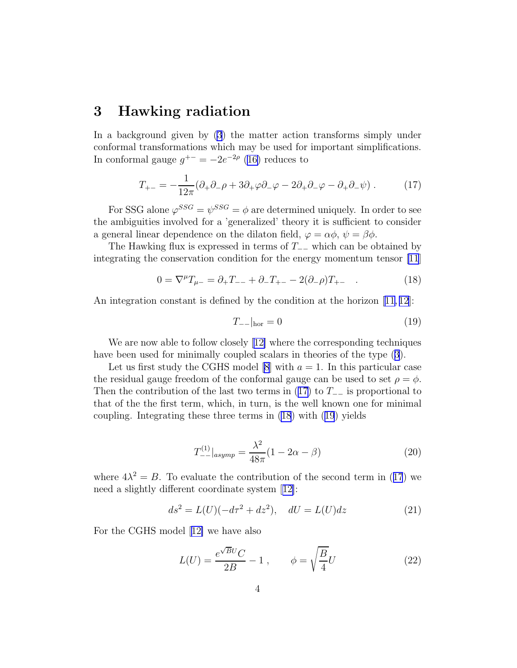### <span id="page-4-0"></span>3 Hawking radiation

In a background given by [\(3](#page-1-0)) the matter action transforms simply under conformal transformations which may be used for important simplifications. In conformal gauge  $g^{+-} = -2e^{-2\rho}$  [\(16\)](#page-3-0) reduces to

$$
T_{+-} = -\frac{1}{12\pi} (\partial_+ \partial_- \rho + 3\partial_+ \varphi \partial_- \varphi - 2\partial_+ \partial_- \varphi - \partial_+ \partial_- \psi) . \tag{17}
$$

For SSG alone  $\varphi^{SSG} = \psi^{SSG} = \phi$  are determined uniquely. In order to see the ambiguities involved for a 'generalized' theory it is sufficient to consider a general linear dependence on the dilaton field,  $\varphi = \alpha \phi$ ,  $\psi = \beta \phi$ .

The Hawking flux is expressed in terms of  $T_-\equiv$  which can be obtained by integrating the conservation condition for the energy momentum tensor [\[11](#page-8-0)]

$$
0 = \nabla^{\mu} T_{\mu-} = \partial_{+} T_{--} + \partial_{-} T_{+-} - 2(\partial_{-}\rho) T_{+-} \quad . \tag{18}
$$

An integration constant is defined by the condition at the horizon [\[11, 12](#page-8-0)]:

$$
T_{--}|_{\text{hor}} = 0 \tag{19}
$$

We are now able to follow closely[[12\]](#page-8-0) where the corresponding techniques have been used for minimally coupled scalars in theories of the type([3](#page-1-0)).

Let us first study the CGHS model [\[8](#page-7-0)] with  $a = 1$ . In this particular case the residual gauge freedom of the conformal gauge can be used to set  $\rho = \phi$ . Then the contribution of the last two terms in (17) to  $T_-\equiv$  is proportional to that of the the first term, which, in turn, is the well known one for minimal coupling. Integrating these three terms in (18) with (19) yields

$$
T_{--}^{(1)}|_{asymp} = \frac{\lambda^2}{48\pi} (1 - 2\alpha - \beta)
$$
 (20)

where  $4\lambda^2 = B$ . To evaluate the contribution of the second term in (17) we need a slightly different coordinate system[[12\]](#page-8-0):

$$
ds^{2} = L(U)(-d\tau^{2} + dz^{2}), \quad dU = L(U)dz
$$
 (21)

For the CGHS model[[12\]](#page-8-0) we have also

$$
L(U) = \frac{e^{\sqrt{BU}}C}{2B} - 1 , \qquad \phi = \sqrt{\frac{B}{4}}U \tag{22}
$$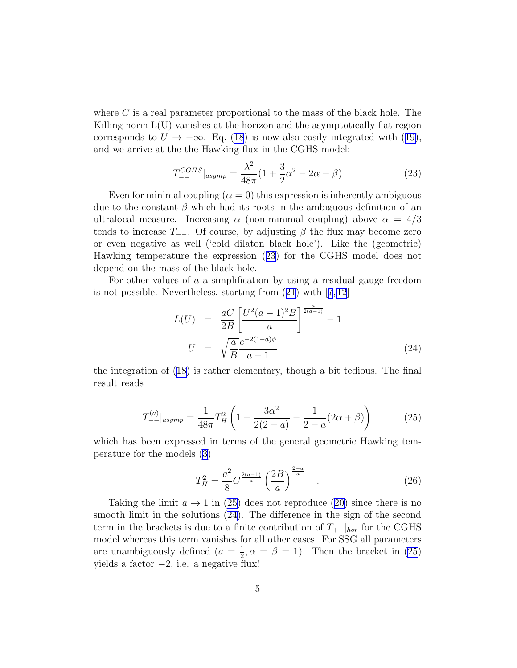<span id="page-5-0"></span>where  $C$  is a real parameter proportional to the mass of the black hole. The Killing norm  $L(U)$  vanishes at the horizon and the asymptotically flat region correspondsto  $U \to -\infty$ . Eq. [\(18](#page-4-0)) is now also easily integrated with ([19\)](#page-4-0), and we arrive at the the Hawking flux in the CGHS model:

$$
T_{--}^{CGHS}|_{asymp} = \frac{\lambda^2}{48\pi} (1 + \frac{3}{2}\alpha^2 - 2\alpha - \beta)
$$
 (23)

Even for minimal coupling  $(\alpha = 0)$  this expression is inherently ambiguous due to the constant  $\beta$  which had its roots in the ambiguous definition of an ultralocal measure. Increasing  $\alpha$  (non-minimal coupling) above  $\alpha = 4/3$ tends to increase  $T_{-}$ . Of course, by adjusting  $\beta$  the flux may become zero or even negative as well ('cold dilaton black hole'). Like the (geometric) Hawking temperature the expression (23) for the CGHS model does not depend on the mass of the black hole.

For other values of a a simplification by using a residual gauge freedom is not possible. Nevertheless, starting from([21](#page-4-0)) with[[7](#page-7-0), [12\]](#page-8-0)

$$
L(U) = \frac{aC}{2B} \left[ \frac{U^2 (a-1)^2 B}{a} \right]^{\frac{a}{2(a-1)}} - 1
$$
  

$$
U = \sqrt{\frac{a}{B}} \frac{e^{-2(1-a)\phi}}{a-1}
$$
(24)

the integration of [\(18\)](#page-4-0) is rather elementary, though a bit tedious. The final result reads

$$
T_{--}^{(a)}|_{asymp} = \frac{1}{48\pi} T_H^2 \left( 1 - \frac{3\alpha^2}{2(2-a)} - \frac{1}{2-a} (2\alpha + \beta) \right)
$$
 (25)

which has been expressed in terms of the general geometric Hawking temperature for the models([3\)](#page-1-0)

$$
T_H^2 = \frac{a^2}{8} C^{\frac{2(a-1)}{a}} \left(\frac{2B}{a}\right)^{\frac{2-a}{a}} . \tag{26}
$$

Takingthe limit  $a \to 1$  in (25) does not reproduce ([20\)](#page-4-0) since there is no smooth limit in the solutions (24). The difference in the sign of the second term in the brackets is due to a finite contribution of  $T_{+−}|_{hor}$  for the CGHS model whereas this term vanishes for all other cases. For SSG all parameters are unambiguously defined  $(a = \frac{1}{2})$  $\frac{1}{2}, \alpha = \beta = 1$ ). Then the bracket in (25) yields a factor  $-2$ , i.e. a negative flux!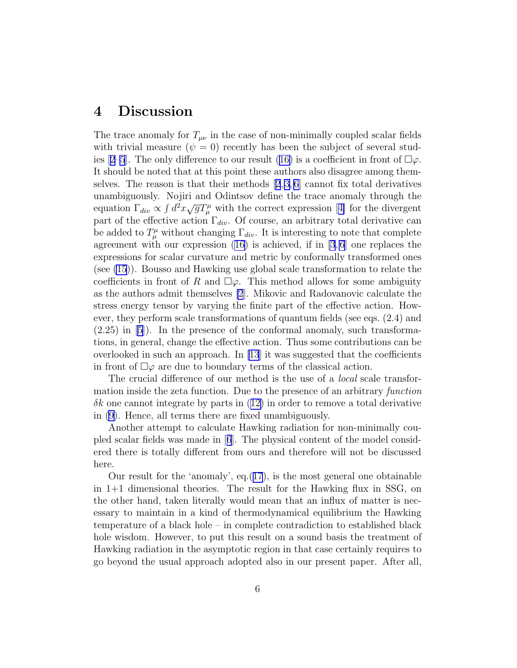### 4 Discussion

The trace anomaly for  $T_{\mu\nu}$  in the case of non-minimally coupled scalar fields with trivial measure  $(\psi = 0)$  recently has been the subject of several stud-ies[[2–5](#page-7-0)]. The only difference to our result ([16\)](#page-3-0) is a coefficient in front of  $\Box \varphi$ . It should be noted that at this point these authors also disagree among them-selves.The reason is that their methods  $[2,3,6]$  $[2,3,6]$  $[2,3,6]$  cannot fix total derivatives unambiguously. Nojiri and Odintsov define the trace anomaly through the equation $\Gamma_{div} \propto \int d^2x \sqrt{g} T^{\mu}_{\mu}$  with the correct expression [[4\]](#page-7-0) for the divergent part of the effective action  $\Gamma_{div}$ . Of course, an arbitrary total derivative can be added to  $T^{\mu}_{\mu}$  without changing  $\Gamma_{div}$ . It is interesting to note that complete agreement with our expression  $(16)$  is achieved, if in [\[3](#page-7-0),6] one replaces the expressions for scalar curvature and metric by conformally transformed ones (see [\(15](#page-3-0))). Bousso and Hawking use global scale transformation to relate the coefficients in front of R and  $\square \varphi$ . This method allows for some ambiguity as the authors admit themselves [\[2](#page-7-0)]. Mikovic and Radovanovic calculate the stress energy tensor by varying the finite part of the effective action. However, they perform scale transformations of quantum fields (see eqs. (2.4) and  $(2.25)$  in  $[5]$ . In the presence of the conformal anomaly, such transformations, in general, change the effective action. Thus some contributions can be overlooked in such an approach. In  $[13]$  it was suggested that the coefficients in front of  $\Box\varphi$  are due to boundary terms of the classical action.

The crucial difference of our method is the use of a *local* scale transformation inside the zeta function. Due to the presence of an arbitrary *function*  $\delta k$  $\delta k$  $\delta k$  one cannot integrate by parts in  $(12)$  $(12)$  in order to remove a total derivative in [\(9\)](#page-2-0). Hence, all terms there are fixed unambiguously.

Another attempt to calculate Hawking radiation for non-minimally coupled scalar fields was made in[[6](#page-7-0)]. The physical content of the model considered there is totally different from ours and therefore will not be discussed here.

Our result for the 'anomaly', eq.([17](#page-4-0)), is the most general one obtainable in 1+1 dimensional theories. The result for the Hawking flux in SSG, on the other hand, taken literally would mean that an influx of matter is necessary to maintain in a kind of thermodynamical equilibrium the Hawking temperature of a black hole – in complete contradiction to established black hole wisdom. However, to put this result on a sound basis the treatment of Hawking radiation in the asymptotic region in that case certainly requires to go beyond the usual approach adopted also in our present paper. After all,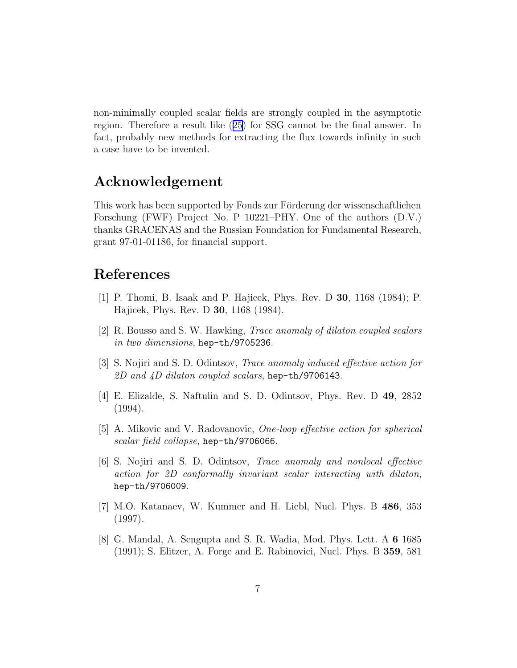<span id="page-7-0"></span>non-minimally coupled scalar fields are strongly coupled in the asymptotic region. Therefore a result like([25](#page-5-0)) for SSG cannot be the final answer. In fact, probably new methods for extracting the flux towards infinity in such a case have to be invented.

## Acknowledgement

This work has been supported by Fonds zur Förderung der wissenschaftlichen Forschung (FWF) Project No. P 10221–PHY. One of the authors (D.V.) thanks GRACENAS and the Russian Foundation for Fundamental Research, grant 97-01-01186, for financial support.

## References

- [1] P. Thomi, B. Isaak and P. Hajicek, Phys. Rev. D 30, 1168 (1984); P. Hajicek, Phys. Rev. D 30, 1168 (1984).
- [2] R. Bousso and S. W. Hawking, Trace anomaly of dilaton coupled scalars in two dimensions, hep-th/9705236.
- [3] S. Nojiri and S. D. Odintsov, Trace anomaly induced effective action for 2D and  $4D$  dilaton coupled scalars, hep-th/9706143.
- [4] E. Elizalde, S. Naftulin and S. D. Odintsov, Phys. Rev. D 49, 2852 (1994).
- [5] A. Mikovic and V. Radovanovic, One-loop effective action for spherical scalar field collapse, hep-th/9706066.
- [6] S. Nojiri and S. D. Odintsov, Trace anomaly and nonlocal effective action for 2D conformally invariant scalar interacting with dilaton, hep-th/9706009.
- [7] M.O. Katanaev, W. Kummer and H. Liebl, Nucl. Phys. B 486, 353 (1997).
- [8] G. Mandal, A. Sengupta and S. R. Wadia, Mod. Phys. Lett. A 6 1685 (1991); S. Elitzer, A. Forge and E. Rabinovici, Nucl. Phys. B 359, 581